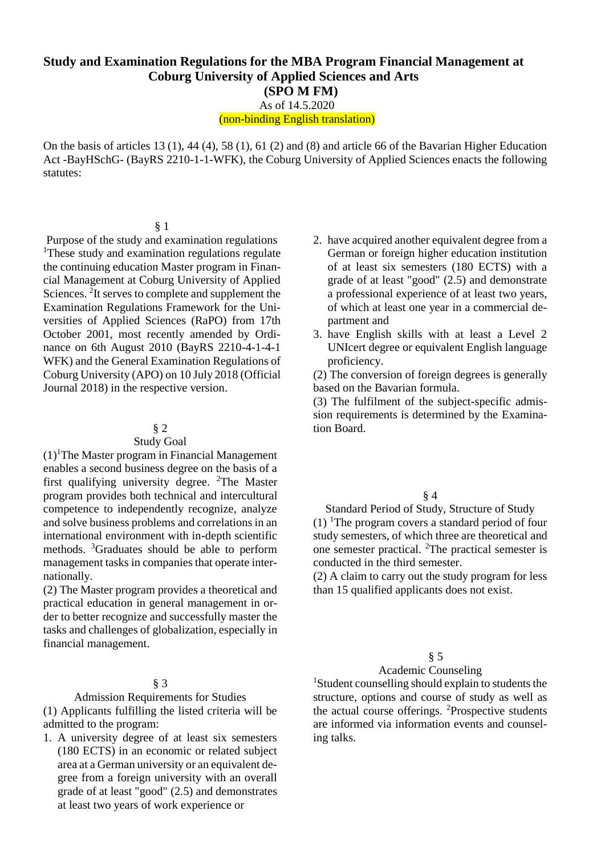# **Study and Examination Regulations for the MBA Program Financial Management at Coburg University of Applied Sciences and Arts**

**(SPO M FM)**

As of 14.5.2020

### (non-binding English translation)

On the basis of articles 13 (1), 44 (4), 58 (1), 61 (2) and (8) and article 66 of the Bavarian Higher Education Act -BayHSchG- (BayRS 2210-1-1-WFK), the Coburg University of Applied Sciences enacts the following statutes:

#### § 1

Purpose of the study and examination regulations <sup>1</sup>These study and examination regulations regulate the continuing education Master program in Financial Management at Coburg University of Applied Sciences.  ${}^{2}$ It serves to complete and supplement the Examination Regulations Framework for the Universities of Applied Sciences (RaPO) from 17th October 2001, most recently amended by Ordinance on 6th August 2010 (BayRS 2210-4-1-4-1 WFK) and the General Examination Regulations of Coburg University (APO) on 10 July 2018 (Official Journal 2018) in the respective version.

#### § 2

#### Study Goal

 $(1)^{1}$ The Master program in Financial Management enables a second business degree on the basis of a first qualifying university degree. <sup>2</sup>The Master program provides both technical and intercultural competence to independently recognize, analyze and solve business problems and correlations in an international environment with in-depth scientific methods. <sup>3</sup>Graduates should be able to perform management tasks in companies that operate internationally.

(2) The Master program provides a theoretical and practical education in general management in order to better recognize and successfully master the tasks and challenges of globalization, especially in financial management.

### § 3

Admission Requirements for Studies

(1) Applicants fulfilling the listed criteria will be admitted to the program:

1. A university degree of at least six semesters (180 ECTS) in an economic or related subject area at a German university or an equivalent degree from a foreign university with an overall grade of at least "good" (2.5) and demonstrates at least two years of work experience or

- 2. have acquired another equivalent degree from a German or foreign higher education institution of at least six semesters (180 ECTS) with a grade of at least "good" (2.5) and demonstrate a professional experience of at least two years, of which at least one year in a commercial department and
- 3. have English skills with at least a Level 2 UNIcert degree or equivalent English language proficiency.

(2) The conversion of foreign degrees is generally based on the Bavarian formula.

(3) The fulfilment of the subject-specific admission requirements is determined by the Examination Board.

### § 4

Standard Period of Study, Structure of Study  $(1)$  <sup>1</sup>The program covers a standard period of four study semesters, of which three are theoretical and one semester practical. <sup>2</sup>The practical semester is conducted in the third semester.

(2) A claim to carry out the study program for less than 15 qualified applicants does not exist.

## § 5

## Academic Counseling

<sup>1</sup>Student counselling should explain to students the structure, options and course of study as well as the actual course offerings. <sup>2</sup>Prospective students are informed via information events and counseling talks.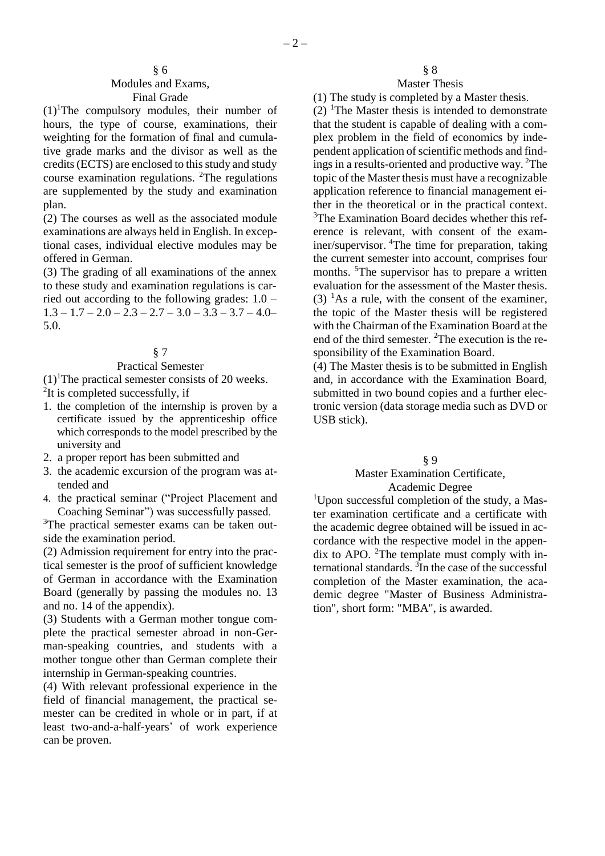### § 6 Modules and Exams, Final Grade

 $(1)^{1}$ The compulsory modules, their number of hours, the type of course, examinations, their weighting for the formation of final and cumulative grade marks and the divisor as well as the credits (ECTS) are enclosed to this study and study course examination regulations. <sup>2</sup>The regulations are supplemented by the study and examination plan.

(2) The courses as well as the associated module examinations are always held in English. In exceptional cases, individual elective modules may be offered in German.

(3) The grading of all examinations of the annex to these study and examination regulations is carried out according to the following grades:  $1.0 1.3 - 1.7 - 2.0 - 2.3 - 2.7 - 3.0 - 3.3 - 3.7 - 4.0$ 5.0.

#### § 7

### Practical Semester

 $(1)^{1}$ The practical semester consists of 20 weeks. <sup>2</sup>It is completed successfully, if

- 1. the completion of the internship is proven by a certificate issued by the apprenticeship office which corresponds to the model prescribed by the university and
- 2. a proper report has been submitted and
- 3. the academic excursion of the program was attended and
- 4. the practical seminar ("Project Placement and Coaching Seminar") was successfully passed.

<sup>3</sup>The practical semester exams can be taken outside the examination period.

(2) Admission requirement for entry into the practical semester is the proof of sufficient knowledge of German in accordance with the Examination Board (generally by passing the modules no. 13 and no. 14 of the appendix).

(3) Students with a German mother tongue complete the practical semester abroad in non-German-speaking countries, and students with a mother tongue other than German complete their internship in German-speaking countries.

(4) With relevant professional experience in the field of financial management, the practical semester can be credited in whole or in part, if at least two-and-a-half-years' of work experience can be proven.

### § 8

## Master Thesis

(1) The study is completed by a Master thesis. (2) <sup>1</sup>The Master thesis is intended to demonstrate that the student is capable of dealing with a complex problem in the field of economics by independent application of scientific methods and findings in a results-oriented and productive way. <sup>2</sup>The topic of the Master thesis must have a recognizable application reference to financial management either in the theoretical or in the practical context. <sup>3</sup>The Examination Board decides whether this reference is relevant, with consent of the examiner/supervisor. <sup>4</sup>The time for preparation, taking the current semester into account, comprises four months. <sup>5</sup>The supervisor has to prepare a written evaluation for the assessment of the Master thesis.  $(3)$  <sup>1</sup>As a rule, with the consent of the examiner, the topic of the Master thesis will be registered with the Chairman of the Examination Board at the end of the third semester. <sup>2</sup>The execution is the responsibility of the Examination Board.

(4) The Master thesis is to be submitted in English and, in accordance with the Examination Board, submitted in two bound copies and a further electronic version (data storage media such as DVD or USB stick).

#### § 9

### Master Examination Certificate, Academic Degree

<sup>1</sup>Upon successful completion of the study, a Master examination certificate and a certificate with the academic degree obtained will be issued in accordance with the respective model in the appendix to APO.  $^{2}$ The template must comply with international standards.  $\overline{3}$ In the case of the successful completion of the Master examination, the academic degree "Master of Business Administration", short form: "MBA", is awarded.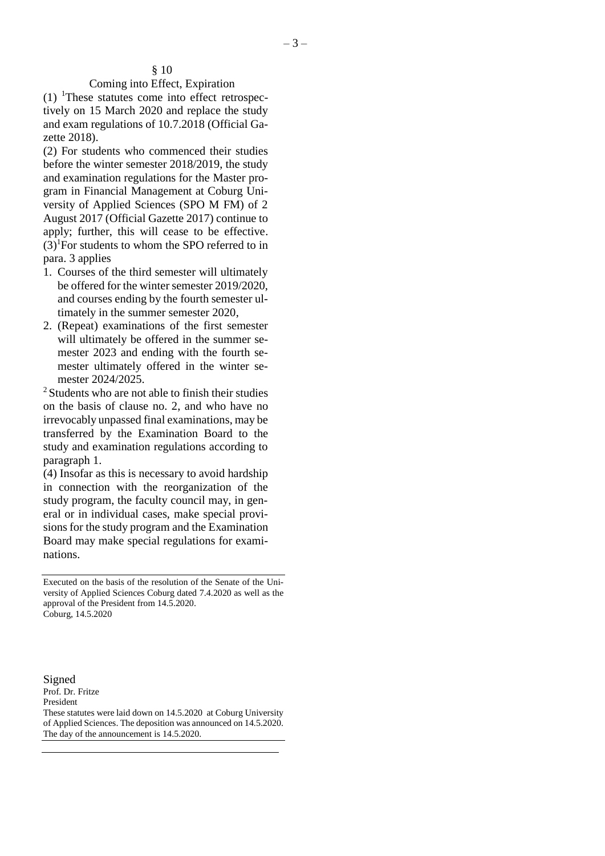#### Coming into Effect, Expiration

 $(1)$  <sup>1</sup>These statutes come into effect retrospectively on 15 March 2020 and replace the study and exam regulations of 10.7.2018 (Official Gazette 2018).

(2) For students who commenced their studies before the winter semester 2018/2019, the study and examination regulations for the Master program in Financial Management at Coburg University of Applied Sciences (SPO M FM) of 2 August 2017 (Official Gazette 2017) continue to apply; further, this will cease to be effective.  $(3)$ <sup>1</sup>For students to whom the SPO referred to in para. 3 applies

- 1. Courses of the third semester will ultimately be offered for the winter semester 2019/2020, and courses ending by the fourth semester ultimately in the summer semester 2020,
- 2. (Repeat) examinations of the first semester will ultimately be offered in the summer semester 2023 and ending with the fourth semester ultimately offered in the winter semester 2024/2025.

<sup>2</sup> Students who are not able to finish their studies on the basis of clause no. 2, and who have no irrevocably unpassed final examinations, may be transferred by the Examination Board to the study and examination regulations according to paragraph 1.

(4) Insofar as this is necessary to avoid hardship in connection with the reorganization of the study program, the faculty council may, in general or in individual cases, make special provisions for the study program and the Examination Board may make special regulations for examinations.

Signed Prof. Dr. Fritze President

These statutes were laid down on 14.5.2020 at Coburg University of Applied Sciences. The deposition was announced on 14.5.2020. The day of the announcement is 14.5.2020.

Executed on the basis of the resolution of the Senate of the University of Applied Sciences Coburg dated 7.4.2020 as well as the approval of the President from 14.5.2020. Coburg, 14.5.2020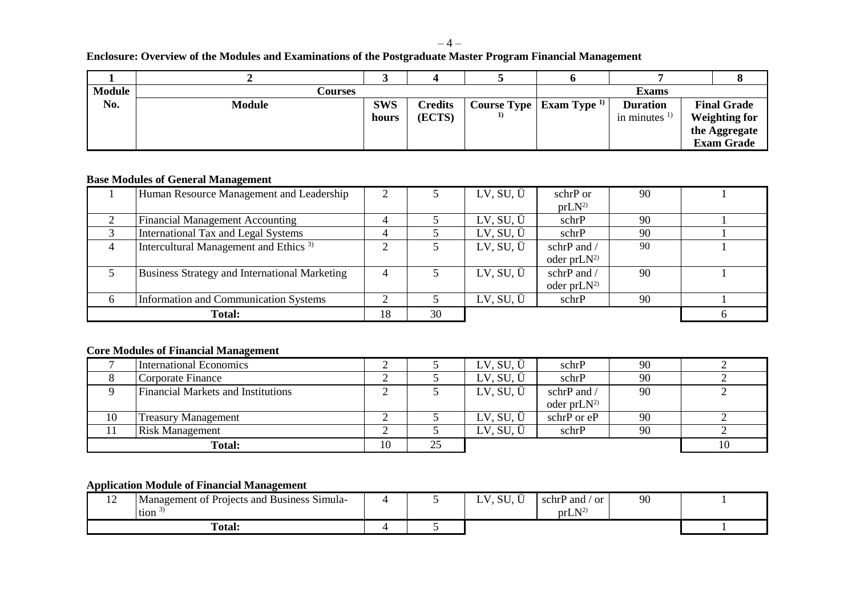$-4-$ 

## **Enclosure: Overview of the Modules and Examinations of the Postgraduate Master Program Financial Management**

| <b>Module</b> | <b>Courses</b> |            |         |                                 | <b>Exams</b>             |                      |
|---------------|----------------|------------|---------|---------------------------------|--------------------------|----------------------|
| No.           | <b>Module</b>  | <b>SWS</b> | Credits | Course Type   Exam Type $^{1)}$ | <b>Duration</b>          | <b>Final Grade</b>   |
|               |                | hours      | (ECTS)  |                                 | in minutes $\frac{1}{2}$ | <b>Weighting for</b> |
|               |                |            |         |                                 |                          | the Aggregate        |
|               |                |            |         |                                 |                          | <b>Exam Grade</b>    |

## **Base Modules of General Management**

| Human Resource Management and Leadership             |                |    | LV, SU, Ü          | schrP or          | 90 |  |
|------------------------------------------------------|----------------|----|--------------------|-------------------|----|--|
|                                                      |                |    |                    | prLN <sup>2</sup> |    |  |
| <b>Financial Management Accounting</b>               |                |    | LV, SU, Ü          | schrP             | 90 |  |
| International Tax and Legal Systems                  |                |    | LV, SU, Ü          | schrP             | 90 |  |
| Intercultural Management and Ethics <sup>3)</sup>    |                |    | $LV, SU, \ddot{U}$ | schrP and /       | 90 |  |
|                                                      |                |    |                    | oder $prLN2$      |    |  |
| <b>Business Strategy and International Marketing</b> | $\overline{4}$ |    | LV, SU, Ü          | schrP and /       | 90 |  |
|                                                      |                |    |                    | oder $prLN2$      |    |  |
| Information and Communication Systems                |                |    | LV, SU, Ü          | schrP             | 90 |  |
| <b>Total:</b>                                        | 18             | 30 |                    |                   |    |  |

## **Core Modules of Financial Management**

|    | <b>International Economics</b>            |    |    | LV, SU, Ü          | schrP        | 90 |    |
|----|-------------------------------------------|----|----|--------------------|--------------|----|----|
|    | Corporate Finance                         |    |    | LV, SU, Ü          | schrP        | 90 |    |
|    | <b>Financial Markets and Institutions</b> |    |    | $LV, SU, \ddot{U}$ | schrP and /  | 90 |    |
|    |                                           |    |    |                    | oder $prLN2$ |    |    |
| 10 | <b>Treasury Management</b>                |    |    | LV, SU, Ü          | schrP or eP  | 90 |    |
|    | <b>Risk Management</b>                    |    |    | LV, SU, Ü          | schrP        | 90 |    |
|    | Total:                                    | 10 | 25 |                    |              |    | 10 |

## **Application Module of Financial Management**

| -- | $\sim$<br>$\sqrt{ }$<br>Management of Projects and<br>! Business Simula- |  | $\cdots$<br>$\mathbf{C}$<br>N.<br>.JU<br>◡ | schrP and<br><sub>or</sub> | ۵Λ<br>∕∪ |  |
|----|--------------------------------------------------------------------------|--|--------------------------------------------|----------------------------|----------|--|
|    | $\tan$                                                                   |  |                                            | prLN <sup>2</sup>          |          |  |
|    | Total.                                                                   |  |                                            |                            |          |  |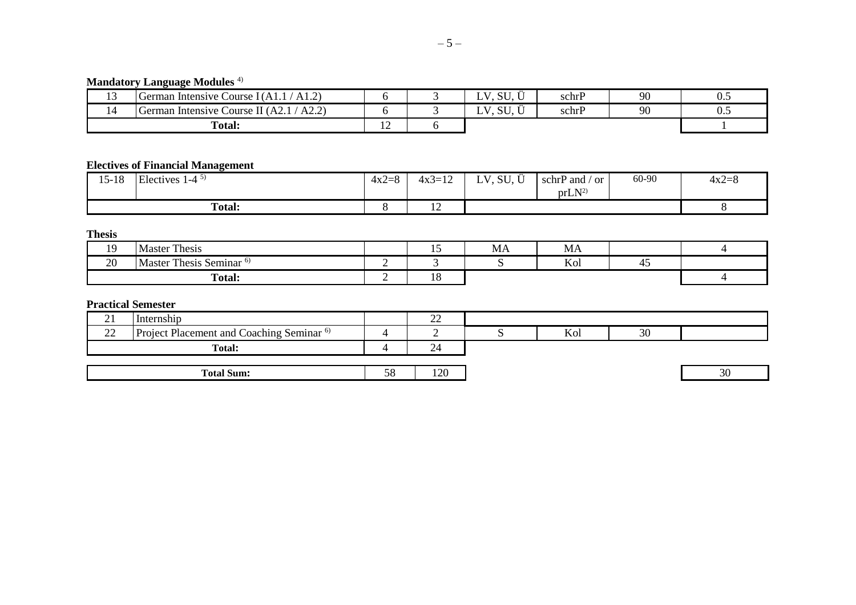## **Mandatory Language Modules** 4)

| $\ddot{\phantom{1}}$<br>$\sim$ | $\rightarrow$<br>Intensive<br>Course 1(A1<br>ierman<br>$\cdots$<br>$\cdot$ .                                          |     | $\cdots$<br>.<br>$\sim$ $\sim$ $\sim$<br>$\mathbf{v}$<br>`<br>⊇ ∪<br><u>، ب</u> | schri | 90       | ◡…  |
|--------------------------------|-----------------------------------------------------------------------------------------------------------------------|-----|---------------------------------------------------------------------------------|-------|----------|-----|
|                                | $\lambda \cap \Delta$<br>Course II (<br>Intensive<br>ierman<br>$\mathsf{H}(\mathsf{A}\mathsf{L},\mathsf{L})$<br>r 12. |     | $\cdot \cdot$<br>$\sim$ $\sim$ $\sim$<br>T<br>$\mathbf{v}$<br>υU<br><b>⊥</b>    | schr  | ۵ſ<br>76 | ◡.◡ |
|                                | Total:                                                                                                                | --- |                                                                                 |       |          |     |

## **Electives of Financial Management**

| $15 - 18$<br>⊥ັ | Electives<br>$\cdot$ 1-4 $\cdot$ | $4x2=8$ | $4x3=12$                 | $\cdots$<br>$SU, \ddot{U}$<br>$T$ $\mathbf{Y}$<br>. L 1 | schrP and<br><b>or</b> | 60-90 | $4x2=8$ |
|-----------------|----------------------------------|---------|--------------------------|---------------------------------------------------------|------------------------|-------|---------|
|                 |                                  |         |                          |                                                         | prLN <sup>2</sup>      |       |         |
|                 | Total:                           |         | $\sim$<br>$\overline{1}$ |                                                         |                        |       |         |

### **Thesis**

| $\sim$<br>. . | Thesis<br>Master                                 | --                    | $\overline{\phantom{a}}$<br>МA | МA                                        |  |
|---------------|--------------------------------------------------|-----------------------|--------------------------------|-------------------------------------------|--|
| 20            | <b>FIRE</b><br>Thesis Seminar $\omega$<br>Master |                       |                                | $\mathbf{v}$<br>$\sqrt{2}$<br><b>N</b> OI |  |
|               | m<br>Total:                                      | $\sim$ $\sim$<br>- 10 |                                |                                           |  |

## **Practical Semester**

| $\sim$<br>$\sim$ 1                   | Internship                                          | $\sim$<br>-- |            |    |  |
|--------------------------------------|-----------------------------------------------------|--------------|------------|----|--|
| $\Omega$<br>$\overline{\phantom{m}}$ | Project Placement and Coaching Seminar <sup>6</sup> |              | $-$<br>Kol | 30 |  |
| <b>Total:</b>                        |                                                     | $\sim$<br>-  |            |    |  |
|                                      |                                                     |              |            |    |  |

| 1 ລດ<br>Sum:<br>otal) |
|-----------------------|
|-----------------------|